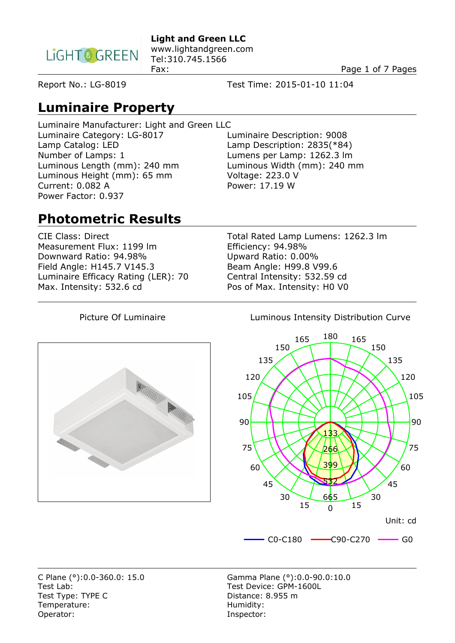

**Light and Green LLC**  www.lightandgreen.com Tel:310.745.1566

Fax: Page 1 of 7 Pages

Report No.: LG-8019 Test Time: 2015-01-10 11:04

**Luminaire Property**

Luminaire Manufacturer: Light and Green LLC Luminaire Category: LG-8017 Luminaire Description: 9008 Lamp Catalog: LED Lamp Description: 2835(\*84) Number of Lamps: 1<br>
Lumens per Lamp: 1262.3 lm<br>
Luminous Width (mm): 240 mm<br>
Luminous Width (mm): 240 mm Luminous Length (mm): 240 mm Luminous Height (mm): 65 mm Voltage: 223.0 V Current: 0.082 A Power: 17.19 W Power Factor: 0.937

## **Photometric Results**

Measurement Flux: 1199 Im<br>
Downward Ratio: 94.98%<br>
Upward Ratio: 0.00% Downward Ratio: 94.98% Field Angle: H145.7 V145.3 Beam Angle: H99.8 V99.6 Luminaire Efficacy Rating (LER): 70 Central Intensity: 532.59 cd Max. Intensity: 532.6 cd Pos of Max. Intensity: H0 V0

CIE Class: Direct Total Rated Lamp Lumens: 1262.3 lm

**RANDON BARRIER** 

Picture Of Luminaire **Luminous Intensity Distribution Curve** 



Test Lab:<br>
Test Tvpe: TYPE C<br>
Test Tvpe: TYPE C<br>
Test Tvpe: TYPE C Temperature: Temperature: Temperature: Humidity:<br>
Operator: This is a state of the state of the state of the state of the state of the state of the state of th

C Plane (°):0.0-360.0: 15.0 Gamma Plane (°):0.0-90.0:10.0 Distance: 8.955 m Inspector: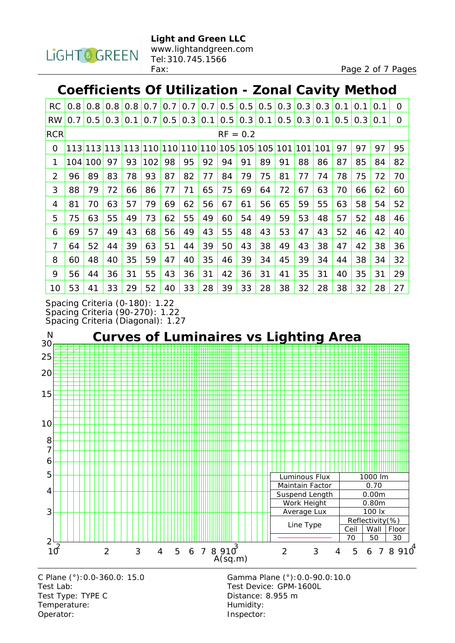

#### **Coefficients Of Utilization - Zonal Cavity Method**

| <b>RC</b>      | $0.8^{\circ}$ | 0.8 | 0.8 | 0.8 | 0.7 | 0.7 | 0.7                 | 0.7     | 0.5 | 0.5     | 0.5     | 0.3 | 0.3 | 0.3 | 0.1 | 0.1 | 0.1 | $\Omega$ |
|----------------|---------------|-----|-----|-----|-----|-----|---------------------|---------|-----|---------|---------|-----|-----|-----|-----|-----|-----|----------|
| <b>RW</b>      | 0.7           | 0.5 | 0.3 | 0.1 | 0.7 | 0.5 |                     | 0.3 0.1 | 0.5 | 0.3 0.1 |         | 0.5 | 0.3 | 0.1 | 0.5 | 0.3 | 0.1 | $\Omega$ |
| <b>RCR</b>     | $RF = 0.2$    |     |     |     |     |     |                     |         |     |         |         |     |     |     |     |     |     |          |
| 0              | 113           | 113 | 113 |     |     |     | 113 110 110 110 110 |         | 105 |         | 105 105 | 101 | 101 | 101 | 97  | 97  | 97  | 95       |
| 1              | 104           | 100 | 97  | 93  | 102 | 98  | 95                  | 92      | 94  | 91      | 89      | 91  | 88  | 86  | 87  | 85  | 84  | 82       |
| $\overline{2}$ | 96            | 89  | 83  | 78  | 93  | 87  | 82                  | 77      | 84  | 79      | 75      | 81  | 77  | 74  | 78  | 75  | 72  | 70       |
| 3              | 88            | 79  | 72  | 66  | 86  | 77  | 71                  | 65      | 75  | 69      | 64      | 72  | 67  | 63  | 70  | 66  | 62  | 60       |
| 4              | 81            | 70  | 63  | 57  | 79  | 69  | 62                  | 56      | 67  | 61      | 56      | 65  | 59  | 55  | 63  | 58  | 54  | 52       |
| 5              | 75            | 63  | 55  | 49  | 73  | 62  | 55                  | 49      | 60  | 54      | 49      | 59  | 53  | 48  | 57  | 52  | 48  | 46       |
| 6              | 69            | 57  | 49  | 43  | 68  | 56  | 49                  | 43      | 55  | 48      | 43      | 53  | 47  | 43  | 52  | 46  | 42  | 40       |
| 7              | 64            | 52  | 44  | 39  | 63  | 51  | 44                  | 39      | 50  | 43      | 38      | 49  | 43  | 38  | 47  | 42  | 38  | 36       |
| 8              | 60            | 48  | 40  | 35  | 59  | 47  | 40                  | 35      | 46  | 39      | 34      | 45  | 39  | 34  | 44  | 38  | 34  | 32       |
| 9              | 56            | 44  | 36  | 31  | 55  | 43  | 36                  | 31      | 42  | 36      | 31      | 41  | 35  | 31  | 40  | 35  | 31  | 29       |
| 10             | 53            | 41  | 33  | 29  | 52  | 40  | 33                  | 28      | 39  | 33      | 28      | 38  | 32  | 28  | 38  | 32  | 28  | 27       |

Spacing Criteria (0-180): 1.22 Spacing Criteria (90-270): 1.22 Spacing Criteria (Diagonal): 1.27



C Plane (°):0.0-360.0: 15.0 Gamma Plane (°):0.0-90.0:10.0 Test Lab: Test Device: GPM-1600L Test Type: TYPE C Distance: 8.955 m Temperature: Temperature: Temperature: Operator: lnspector: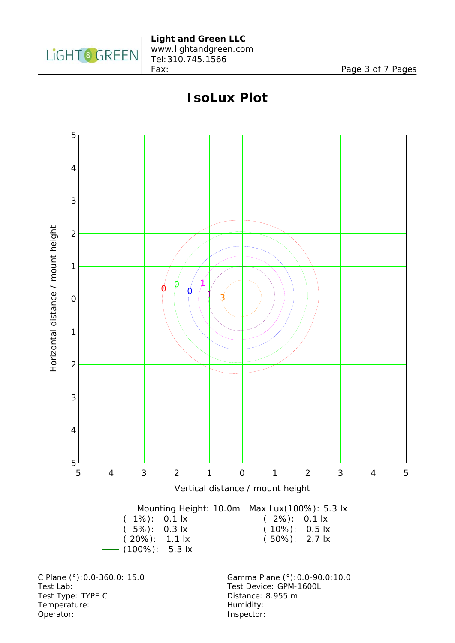



#### **IsoLux Plot**

C Plane (°):0.0-360.0: 15.0 Gamma Plane (°):0.0-90.0:10.0 Test Lab: Test Device: GPM-1600L Test Type: TYPE C Distance: 8.955 m Temperature: Temperature: Temperature: Operator: lnspector: lnspector: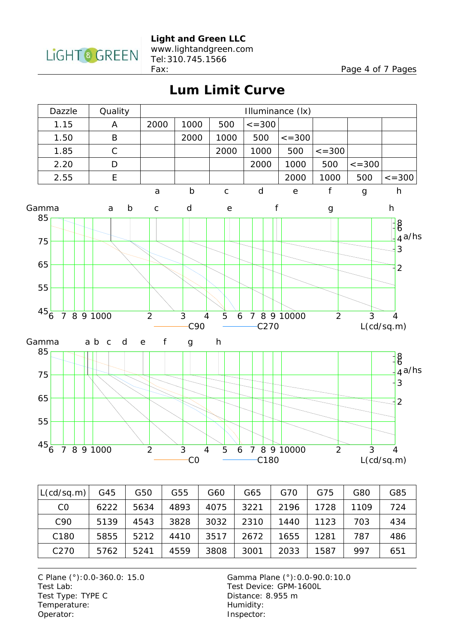

www.lightandgreen.com Tel:310.745.1566

Fax: Page 4 of 7 Pages

### **Lum Limit Curve**



| L(cd/sq.m)       | G45  | G50  | G55  | G60  | G65  | G70  | G75  | G80  | G85 |
|------------------|------|------|------|------|------|------|------|------|-----|
| CO               | 6222 | 5634 | 4893 | 4075 | 3221 | 2196 | 1728 | 1109 | 724 |
| C <sub>90</sub>  | 5139 | 4543 | 3828 | 3032 | 2310 | 1440 | 1123 | 703  | 434 |
| C <sub>180</sub> | 5855 | 5212 | 4410 | 3517 | 2672 | 1655 | 1281 | 787  | 486 |
| C <sub>270</sub> | 5762 | 5241 | 4559 | 3808 | 3001 | 2033 | 1587 | 997  | 651 |

C Plane (°):0.0-360.0: 15.0 Gamma Plane (°):0.0-90.0:10.0 Test Lab: Test Device: GPM-1600L Test Type: TYPE C Distance: 8.955 m Temperature: Humidity:<br>
Operator: Inspector

Inspector: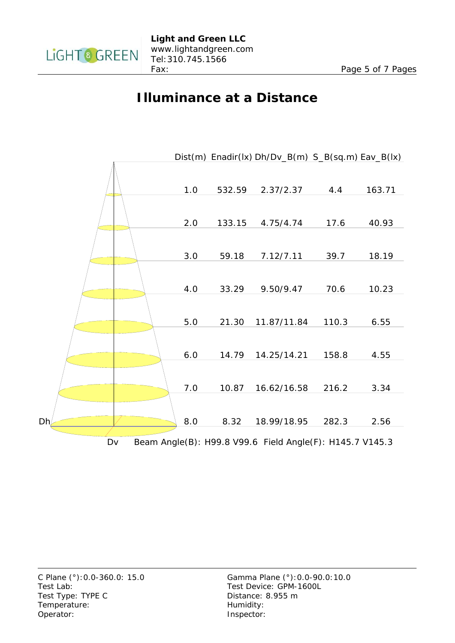

### **Illuminance at a Distance**

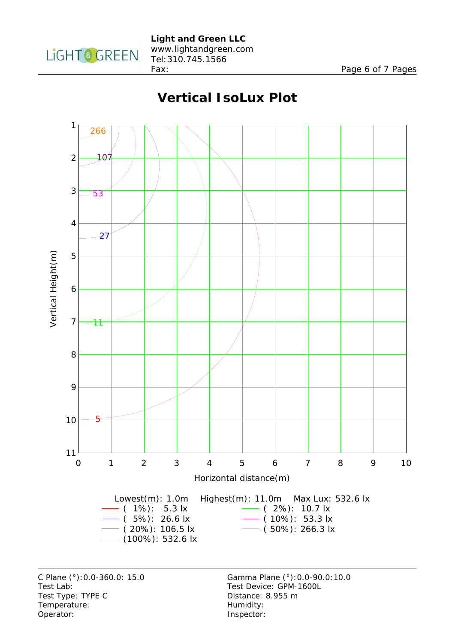

Fax: Page 6 of 7 Pages

# **Vertical IsoLux Plot**



C Plane (°):0.0-360.0: 15.0 Gamma Plane (°):0.0-90.0:10.0 Test Lab: Test Device: GPM-1600L Test Type: TYPE C Distance: 8.955 m Temperature: Temperature: Temperature: Operator: lnspector: lnspector: